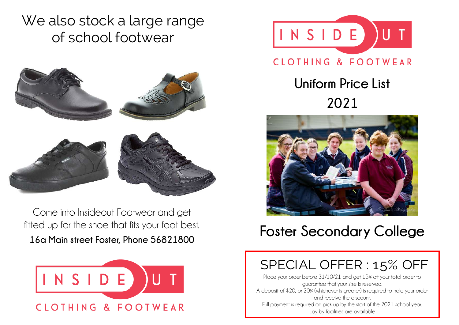We also stock a large range of school footwear



Come into Insideout Footwear and get fitted up for the shoe that fits your foot best. **16a Main street Foster, Phone 56821800** 





## CLOTHING & FOOTWEAR

**Uniform Price List 2021**



## **Foster Secondary College**

## SPECIAL OFFER : 15% OFF

Place your order before 31/10/21 and get 15% off your total order to guarantee that your size is reserved. A deposit of \$20, or 20% (whichever is greater) is required to hold your order and receive the discount. Full payment is required on pick up by the start of the 2021 school year. Lay by facilities are available